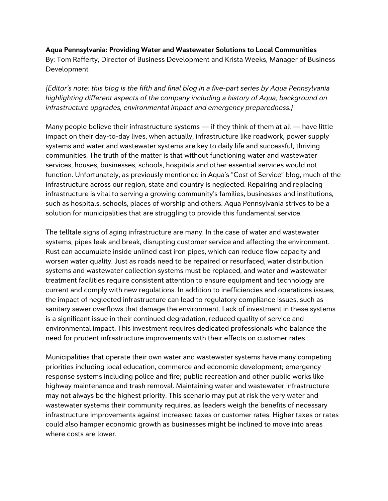### **Aqua Pennsylvania: Providing Water and Wastewater Solutions to Local Communities**

By: Tom Rafferty, Director of Business Development and Krista Weeks, Manager of Business Development

*{Editor's note: this blog is the fifth and final blog in a five-part series by Aqua Pennsylvania highlighting different aspects of the company including a history of Aqua, background on infrastructure upgrades, environmental impact and emergency preparedness.}*

Many people believe their infrastructure systems — if they think of them at all — have little impact on their day-to-day lives, when actually, infrastructure like roadwork, power supply systems and water and wastewater systems are key to daily life and successful, thriving communities. The truth of the matter is that without functioning water and wastewater services, houses, businesses, schools, hospitals and other essential services would not function. Unfortunately, as previously mentioned in Aqua's "Cost of Service" blog, much of the infrastructure across our region, state and country is neglected. Repairing and replacing infrastructure is vital to serving a growing community's families, businesses and institutions, such as hospitals, schools, places of worship and others. Aqua Pennsylvania strives to be a solution for municipalities that are struggling to provide this fundamental service.

The telltale signs of aging infrastructure are many. In the case of water and wastewater systems, pipes leak and break, disrupting customer service and affecting the environment. Rust can accumulate inside unlined cast iron pipes, which can reduce flow capacity and worsen water quality. Just as roads need to be repaired or resurfaced, water distribution systems and wastewater collection systems must be replaced, and water and wastewater treatment facilities require consistent attention to ensure equipment and technology are current and comply with new regulations. In addition to inefficiencies and operations issues, the impact of neglected infrastructure can lead to regulatory compliance issues, such as sanitary sewer overflows that damage the environment. Lack of investment in these systems is a significant issue in their continued degradation, reduced quality of service and environmental impact. This investment requires dedicated professionals who balance the need for prudent infrastructure improvements with their effects on customer rates.

Municipalities that operate their own water and wastewater systems have many competing priorities including local education, commerce and economic development; emergency response systems including police and fire; public recreation and other public works like highway maintenance and trash removal. Maintaining water and wastewater infrastructure may not always be the highest priority. This scenario may put at risk the very water and wastewater systems their community requires, as leaders weigh the benefits of necessary infrastructure improvements against increased taxes or customer rates. Higher taxes or rates could also hamper economic growth as businesses might be inclined to move into areas where costs are lower.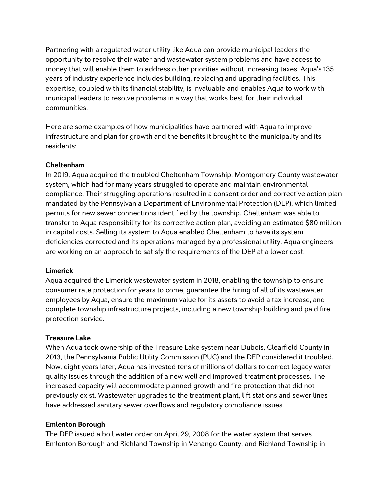Partnering with a regulated water utility like Aqua can provide municipal leaders the opportunity to resolve their water and wastewater system problems and have access to money that will enable them to address other priorities without increasing taxes. Aqua's 135 years of industry experience includes building, replacing and upgrading facilities. This expertise, coupled with its financial stability, is invaluable and enables Aqua to work with municipal leaders to resolve problems in a way that works best for their individual communities.

Here are some examples of how municipalities have partnered with Aqua to improve infrastructure and plan for growth and the benefits it brought to the municipality and its residents:

# **Cheltenham**

In 2019, Aqua acquired the troubled Cheltenham Township, Montgomery County wastewater system, which had for many years struggled to operate and maintain environmental compliance. Their struggling operations resulted in a consent order and corrective action plan mandated by the Pennsylvania Department of Environmental Protection (DEP), which limited permits for new sewer connections identified by the township. Cheltenham was able to transfer to Aqua responsibility for its corrective action plan, avoiding an estimated \$80 million in capital costs. Selling its system to Aqua enabled Cheltenham to have its system deficiencies corrected and its operations managed by a professional utility. Aqua engineers are working on an approach to satisfy the requirements of the DEP at a lower cost.

## **Limerick**

Aqua acquired the Limerick wastewater system in 2018, enabling the township to ensure consumer rate protection for years to come, guarantee the hiring of all of its wastewater employees by Aqua, ensure the maximum value for its assets to avoid a tax increase, and complete township infrastructure projects, including a new township building and paid fire protection service.

## **Treasure Lake**

When Aqua took ownership of the Treasure Lake system near Dubois, Clearfield County in 2013, the Pennsylvania Public Utility Commission (PUC) and the DEP considered it troubled. Now, eight years later, Aqua has invested tens of millions of dollars to correct legacy water quality issues through the addition of a new well and improved treatment processes. The increased capacity will accommodate planned growth and fire protection that did not previously exist. Wastewater upgrades to the treatment plant, lift stations and sewer lines have addressed sanitary sewer overflows and regulatory compliance issues.

## **Emlenton Borough**

The DEP issued a boil water order on April 29, 2008 for the water system that serves Emlenton Borough and Richland Township in Venango County, and Richland Township in